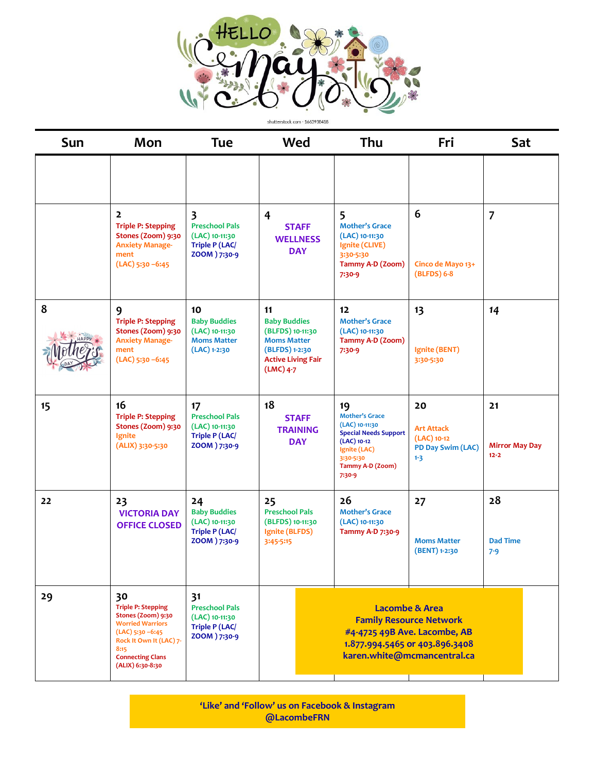

| <b>Sun</b> | Mon                                                                                                                                       | <b>Tue</b>                                                                              | Wed                                                                                                                               | Thu                                                                                                                                                         | Fri                                                                      | Sat                                     |  |
|------------|-------------------------------------------------------------------------------------------------------------------------------------------|-----------------------------------------------------------------------------------------|-----------------------------------------------------------------------------------------------------------------------------------|-------------------------------------------------------------------------------------------------------------------------------------------------------------|--------------------------------------------------------------------------|-----------------------------------------|--|
|            |                                                                                                                                           |                                                                                         |                                                                                                                                   |                                                                                                                                                             |                                                                          |                                         |  |
|            | $\overline{2}$<br><b>Triple P: Stepping</b><br>Stones (Zoom) 9:30<br><b>Anxiety Manage-</b><br>ment<br>$(LAC)$ 5:30 -6:45                 | 3<br><b>Preschool Pals</b><br>(LAC) 10-11:30<br><b>Triple P (LAC/</b><br>ZOOM ) 7:30-9  | 4<br><b>STAFF</b><br><b>WELLNESS</b><br><b>DAY</b>                                                                                | 5<br><b>Mother's Grace</b><br>(LAC) 10-11:30<br>Ignite (CLIVE)<br>3:30-5:30<br>Tammy A-D (Zoom)<br>$7:30-9$                                                 | 6<br>Cinco de Mayo 13+<br>(BLFDS) 6-8                                    | $\overline{7}$                          |  |
| 8          | 9<br><b>Triple P: Stepping</b><br>Stones (Zoom) 9:30<br><b>Anxiety Manage-</b><br>ment<br>$(LAC)$ 5:30 -6:45                              | 10<br><b>Baby Buddies</b><br>(LAC) 10-11:30<br><b>Moms Matter</b><br>$(LAC)$ 1-2:30     | 11<br><b>Baby Buddies</b><br>(BLFDS) 10-11:30<br><b>Moms Matter</b><br>(BLFDS) 1-2:30<br><b>Active Living Fair</b><br>$(LMC)$ 4-7 | 12<br><b>Mother's Grace</b><br>(LAC) 10-11:30<br>Tammy A-D (Zoom)<br>$7:30-9$                                                                               | 13<br>Ignite (BENT)<br>3:30-5:30                                         | 14                                      |  |
| 15         | 16<br><b>Triple P: Stepping</b><br>Stones (Zoom) 9:30<br>Ignite<br>(ALIX) 3:30-5:30                                                       | 17<br><b>Preschool Pals</b><br>(LAC) 10-11:30<br><b>Triple P (LAC/</b><br>ZOOM ) 7:30-9 | 18<br><b>STAFF</b><br><b>TRAINING</b><br><b>DAY</b>                                                                               | 19<br><b>Mother's Grace</b><br>(LAC) 10-11:30<br><b>Special Needs Support</b><br>$(LAC)$ 10-12<br>Ignite (LAC)<br>3:30-5:30<br>Tammy A-D (Zoom)<br>$7:30-9$ | 20<br><b>Art Attack</b><br>$(LAC)$ 10-12<br>PD Day Swim (LAC)<br>$1 - 3$ | 21<br><b>Mirror May Day</b><br>$12 - 2$ |  |
| 22         | 23<br><b>VICTORIA DAY</b><br><b>OFFICE CLOSED</b>                                                                                         | 24<br><b>Baby Buddies</b><br>(LAC) 10-11:30<br><b>Triple P (LAC/</b><br>ZOOM ) 7:30-9   | 25<br><b>Preschool Pals</b><br>(BLFDS) 10-11:30<br>Ignite (BLFDS)<br>3:45-5:15                                                    | 26<br><b>Mother's Grace</b><br>(LAC) 10-11:30<br>Tammy A-D 7:30-9                                                                                           | 27<br><b>Moms Matter</b><br>(BENT) 1-2:30                                | 28<br><b>Dad Time</b><br>$7 - 9$        |  |
| 29         | 30<br><b>Triple P: Stepping</b><br>Stones (Zoom) 9:30<br><b>Worried Warriors</b><br>$(LAC)$ 5:30 -6:45<br>Rock It Own It (LAC) 7-<br>8:15 | 31<br><b>Preschool Pals</b><br>(LAC) 10-11:30<br><b>Triple P (LAC/</b><br>ZOOM ) 7:30-9 |                                                                                                                                   | <b>Lacombe &amp; Area</b><br><b>Family Resource Network</b><br>#4-4725 49B Ave. Lacombe, AB<br>1.877.994.5465 or 403.896.3408                               |                                                                          |                                         |  |

**'Like' and 'Follow' us on Facebook & Instagram @LacombeFRN**

**karen.white@mcmancentral.ca**

**Connecting Clans (ALIX) 6:30-8:30**